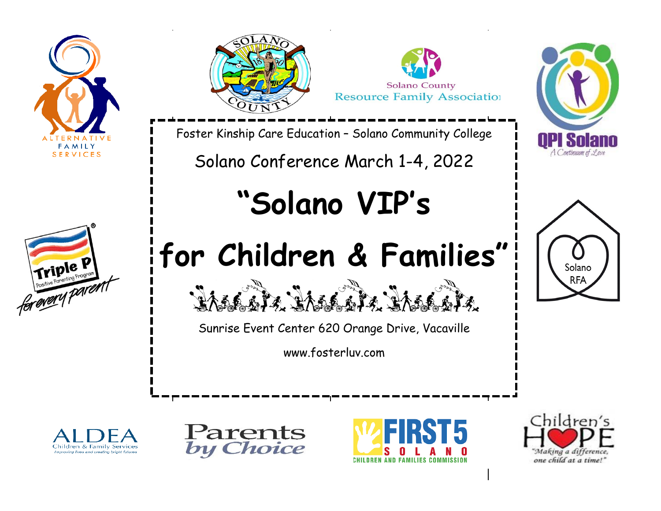















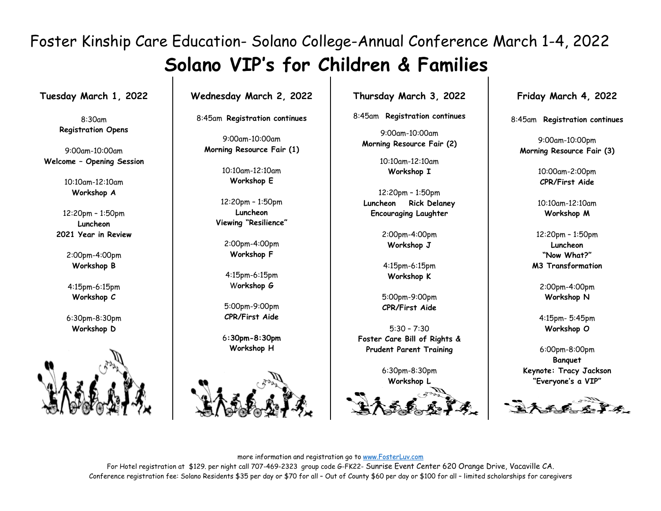**Tuesday March 1, 2022**

8:30am **Registration Opens**

9:00am-10:00am **Welcome – Opening Session**

> 10:10am-12:10am **Workshop A**

12:20pm – 1:50pm **Luncheon 2021 Year in Review**

> 2:00pm-4:00pm **Workshop B**

4:15pm-6:15pm **Workshop C**

6:30pm-8:30pm **Workshop D**



**Wednesday March 2, 2022**

8:45am **Registration continues**

9:00am-10:00am **Morning Resource Fair (1)**

> 10:10am-12:10am **Workshop E**

12:20pm – 1:50pm **Luncheon Viewing "Resilience"**

> 2:00pm-4:00pm **Workshop F**

4:15pm-6:15pm W**orkshop G**

5:00pm-9:00pm **CPR/First Aide**

6**:30pm-8:30pm Workshop H**



**Thursday March 3, 2022**

8:45am **Registration continues**

9:00am-10:00am **Morning Resource Fair (2)**

> 10:10am-12:10am **Workshop I**

12:20pm – 1:50pm **Luncheon Rick Delaney Encouraging Laughter**

> 2:00pm-4:00pm **Workshop J**

4:15pm-6:15pm **Workshop K**

5:00pm-9:00pm **CPR/First Aide**

5:30 – 7:30 **Foster Care Bill of Rights & Prudent Parent Training**

> 6:30pm-8:30pm **Workshop L**



**Friday March 4, 2022**

8:45am **Registration continues**

9:00am-10:00pm **Morning Resource Fair (3)**

> 10:00am-2:00pm **CPR/First Aide**

> 10:10am-12:10am **Workshop M**

12:20pm – 1:50pm **Luncheon "Now What?" M3 Transformation**

> 2:00pm-4:00pm **Workshop N**

4:15pm- 5:45pm **Workshop O**

6:00pm-8:00pm **Banquet Keynote: Tracy Jackson "Everyone's a VIP"**

more information and registration go to [www.FosterLuv.com](http://www.fosterluv.com/)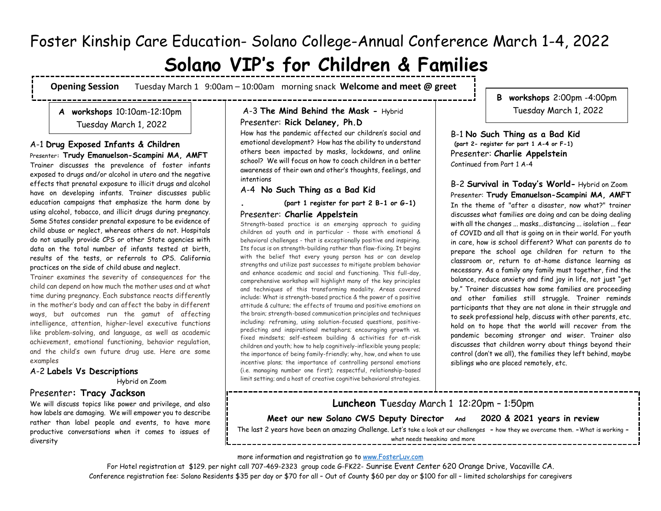# **Solano VIP's for Children & Families**

**Opening Session** Tuesday March 1 9:00am – 10:00ammorning snack **Welcome and meet @ greet** -------------

# **A workshops** 10:10am-12:10pm Tuesday March 1, 2022

--------------------------

## A-1 **Drug Exposed Infants & Children**

Presenter**: Trudy Emanuelson-Scampini MA, AMFT** Trainer discusses the prevalence of foster infants exposed to drugs and/or alcohol in utero and the negative effects that prenatal exposure to illicit drugs and alcohol have on developing infants. Trainer discusses public education campaigns that emphasize the harm done by using alcohol, tobacco, and illicit drugs during pregnancy. Some States consider prenatal exposure to be evidence of child abuse or neglect, whereas others do not. Hospitals do not usually provide CPS or other State agencies with data on the total number of infants tested at birth, results of the tests, or referrals to CPS. California practices on the side of child abuse and neglect.

Trainer examines the severity of consequences for the child can depend on how much the mother uses and at what time during pregnancy. Each substance reacts differently in the mother's body and can affect the baby in different ways, but outcomes run the gamut of affecting intelligence, attention, higher-level executive functions like problem-solving, and language, as well as academic achievement, emotional functioning, behavior regulation, and the child's own future drug use. Here are some examples

## A-2 **Labels Vs Descriptions**

Hybrid on Zoom

# Presenter**: Tracy Jackson**

We will discuss topics like power and privilege, and also how labels are damaging. We will empower you to describe rather than label people and events, to have more productive conversations when it comes to issues of diversity

## A-3 **The Mind Behind the Mask -** Hybrid Presenter: **Rick Delaney, Ph.D**

How has the pandemic affected our children's social and emotional development? How has the ability to understand others been impacted by masks, lockdowns, and online school? We will focus on how to coach children in a better awareness of their own and other's thoughts, feelings, and intentions

A-4 **No Such Thing as a Bad Kid** 

**. (part 1 register for part 2 B-1 or G-1)**

#### Presenter: **Charlie Appelstein**

Strength-based practice is an emerging approach to guiding children ad youth and in particular - those with emotional & behavioral challenges - that is exceptionally positive and inspiring. Its focus is on strength-building rather than flaw-fixing. It begins with the belief that every young person has or can develop strengths and utilize past successes to mitigate problem behavior and enhance academic and social and functioning. This full-day, comprehensive workshop will highlight many of the key principles and techniques of this transforming modality. Areas covered include: What is strength-based practice & the power of a positive attitude & culture; the effects of trauma and positive emotions on the brain; strength-based communication principles and techniques including: reframing, using solution-focused questions, positivepredicting and inspirational metaphors; encouraging growth vs. fixed mindsets; self-esteem building & activities for at-risk children and youth; how to help cognitively-inflexible young people; the importance of being family-friendly; why, how, and when to use incentive plans; the importance of controlling personal emotions (i.e. managing number one first); respectful, relationship-based limit setting; and a host of creative cognitive behavioral strategies.

**B workshops** 2:00pm -4:00pm Tuesday March 1, 2022

B-1 **No Such Thing as a Bad Kid (part 2- register for part 1 A-4 or F-1)** Presenter: **Charlie Appelstein** Continued from Part 1 A-4

B-2 **Survival in Today's World-** Hybrid on Zoom Presenter: **Trudy Emanuelson-Scampini MA, AMFT** In the theme of "after a disaster, now what?" trainer discusses what families are doing and can be doing dealing with all the changes ... masks...distancing ... isolation ... fear of COVID and all that is going on in their world. For youth in care, how is school different? What can parents do to prepare the school age children for return to the classroom or, return to at-home distance learning as necessary. As a family any family must together, find the balance, reduce anxiety and find joy in life, not just "get by." Trainer discusses how some families are proceeding and other families still struggle. Trainer reminds participants that they are not alone in their struggle and to seek professional help, discuss with other parents, etc. hold on to hope that the world will recover from the pandemic becoming stronger and wiser. Trainer also discusses that children worry about things beyond their control (don't we all), the families they left behind, maybe siblings who are placed remotely, etc.

**Luncheon T**uesday March 1 12:20pm – 1:50pm **Meet our new Solano CWS Deputy Director And 2020 & 2021 years in review** The last 2 years have been an amazing Challenge. Let's take a look at our challenges **-** how they we overcame them. **-**What is working **-**

what needs tweaking and more

more information and registration go to [www.FosterLuv.com](http://www.fosterluv.com/)

----------------------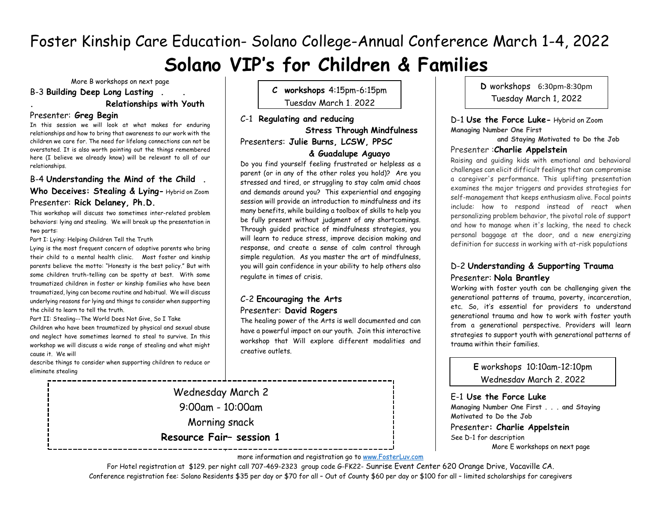More B workshops on next page

B-3 **Building Deep Long Lasting . .** 

# **. Relationships with Youth**

#### Presenter: **Greg Begin**

In this session we will look at what makes for enduring relationships and how to bring that awareness to our work with the children we care for. The need for lifelong connections can not be overstated. It is also worth pointing out the things remembered here (I believe we already know) will be relevant to all of our relationships.

#### B-4 **Understanding the Mind of the Child .**

## **Who Deceives: Stealing & Lying-** Hybrid on Zoom Presenter: **Rick Delaney, Ph.D.**

This workshop will discuss two sometimes inter-related problem behaviors: lying and stealing. We will break up the presentation in two parts:

Part I: Lying: Helping Children Tell the Truth

Lying is the most frequent concern of adoptive parents who bring their child to a mental health clinic. Most foster and kinship parents believe the motto: "Honesty is the best policy." But with some children truth-telling can be spotty at best. With some traumatized children in foster or kinship families who have been traumatized, lying can become routine and habitual. We will discuss underlying reasons for lying and things to consider when supporting the child to learn to tell the truth.

Part II: Stealing--The World Does Not Give, So I Take

Children who have been traumatized by physical and sexual abuse and neglect have sometimes learned to steal to survive. In this workshop we will discuss a wide range of stealing and what might cause it. We will

describe things to consider when supporting children to reduce or eliminate stealing

**C workshops** 4:15pm-6:15pm Tuesday March 1, 2022

C-1 **Regulating and reducing Stress Through Mindfulness**  Presenters: **Julie Burns, LCSW, PPSC** 

#### **& Guadalupe Aguayo**

Do you find yourself feeling frustrated or helpless as a parent (or in any of the other roles you hold)? Are you stressed and tired, or struggling to stay calm amid chaos and demands around you? This experiential and engaging session will provide an introduction to mindfulness and its many benefits, while building a toolbox of skills to help you be fully present without judgment of any shortcomings. Through guided practice of mindfulness strategies, you will learn to reduce stress, improve decision making and response, and create a sense of calm control through simple regulation. As you master the art of mindfulness, you will gain confidence in your ability to help others also regulate in times of crisis.

## C-2 **Encouraging the Arts** Presenter: **David Rogers**

The healing power of the Arts is well documented and can have a powerful impact on our youth. Join this interactive workshop that Will explore different modalities and creative outlets.

Wednesday March 2 9:00am - 10:00am Morning snack **Resource Fair– session 1** **D** workshops 6:30pm-8:30pm Tuesday March 1, 2022

D-1 **Use the Force Luke-** Hybrid on Zoom **Managing Number One First** 

 **and Staying Motivated to Do the Job**

#### Presenter :**Charlie Appelstein**

Raising and guiding kids with emotional and behavioral challenges can elicit difficult feelings that can compromise a caregiver's performance. This uplifting presentation examines the major triggers and provides strategies for self-management that keeps enthusiasm alive. Focal points include: how to respond instead of react when personalizing problem behavior, the pivotal role of support and how to manage when it's lacking, the need to check personal baggage at the door, and a new energizing definition for success in working with at-risk populations

## D-2 **Understanding & Supporting Trauma** Presenter: **Nola Brantley**

Working with foster youth can be challenging given the generational patterns of trauma, poverty, incarceration, etc. So, it's essential for providers to understand generational trauma and how to work with foster youth from a generational perspective. Providers will learn strategies to support youth with generational patterns of trauma within their families.

**E** workshops 10:10am-12:10pm Wednesday March 2, 2022

E-1 **Use the Force Luke Managing Number One First . . . and Staying Motivated to Do the Job** Presenter**: Charlie Appelstein** See D-1 for description More E workshops on next page

more information and registration go to [www.FosterLuv.com](http://www.fosterluv.com/)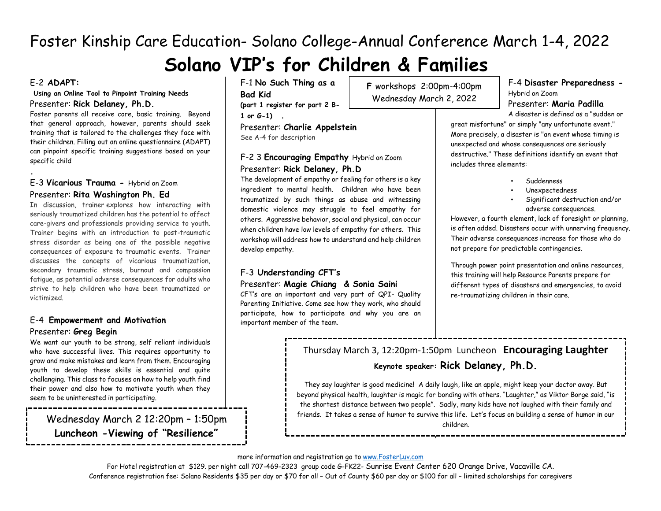# **Solano VIP's for Children & Families**

## E-2 **ADAPT:**

**.**

#### **Using an Online Tool to Pinpoint Training Needs** Presenter: **Rick Delaney, Ph.D.**

Foster parents all receive core, basic training. Beyond that general approach, however, parents should seek training that is tailored to the challenges they face with their children. Filling out an online questionnaire (ADAPT) can pinpoint specific training suggestions based on your specific child

## E-3 **Vicarious Trauma -** Hybrid on Zoom Presenter: **Rita Washington Ph. Ed**

In discussion, trainer explores how interacting with seriously traumatized children has the potential to affect care-givers and professionals providing service to youth. Trainer begins with an introduction to post-traumatic stress disorder as being one of the possible negative consequences of exposure to traumatic events. Trainer discusses the concepts of vicarious traumatization, secondary traumatic stress, burnout and compassion fatigue, as potential adverse consequences for adults who strive to help children who have been traumatized or victimized.

# E-4 **Empowerment and Motivation** Presenter: **Greg Begin**

We want our youth to be strong, self reliant individuals who have successful lives. This requires opportunity to grow and make mistakes and learn from them. Encouraging youth to develop these skills is essential and quite challanging. This class to focuses on how to help youth find their power and also how to motivate youth when they seem to be uninterested in participating.

**Luncheon -Viewing of "Resilience"**

F-1 **No Such Thing as a Bad Kid (part 1 register for part 2 B-1 or G-1) .**

Presenter: **Charlie Appelstein** See A-4 for description

# F-2 3 **Encouraging Empathy** Hybrid on Zoom Presenter: **Rick Delaney, Ph.D**

The development of empathy or feeling for others is a key ingredient to mental health. Children who have been traumatized by such things as abuse and witnessing domestic violence may struggle to feel empathy for others. Aggressive behavior, social and physical, can occur when children have low levels of empathy for others. This workshop will address how to understand and help children develop empathy.

# F-3 **Understanding CFT's**

#### Presenter: **Magie Chiang & Sonia Saini**

CFT's are an important and very part of QPI- Quality Parenting Initiative. Come see how they work, who should participate, how to participate and why you are an important member of the team.

**F** workshops 2:00pm-4:00pm Wednesday March 2, 2022

## F-4 **Disaster Preparedness -** Hybrid on Zoom Presenter: **Maria Padilla**

A disaster is defined as a "sudden or great misfortune" or simply "any unfortunate event." More precisely, a disaster is "an event whose timing is unexpected and whose consequences are seriously destructive." These definitions identify an event that includes three elements:

- Suddenness
- Unexpectedness
- Significant destruction and/or adverse consequences.

However, a fourth element, lack of foresight or planning, is often added. Disasters occur with unnerving frequency. Their adverse consequences increase for those who do not prepare for predictable contingencies.

Through power point presentation and online resources, this training will help Resource Parents prepare for different types of disasters and emergencies, to avoid re-traumatizing children in their care.

# Thursday March 3, 12:20pm-1:50pm Luncheon **Encouraging Laughter Keynote speaker: Rick Delaney, Ph.D.**

They say laughter is good medicine! A daily laugh, like an apple, might keep your doctor away. But beyond physical health, laughter is magic for bonding with others. "Laughter," as Viktor Borge said, "is the shortest distance between two people". Sadly, many kids have not laughed with their family and Wednesday March 2 12:20pm – 1:50pm – 1:50pm – 1:50pm – 1:50pm – 1:50pm – 1:50pm – 1:50pm – 1:50pm – 1:50pm – 1

#### more information and registration go to [www.FosterLuv.com](http://www.fosterluv.com/)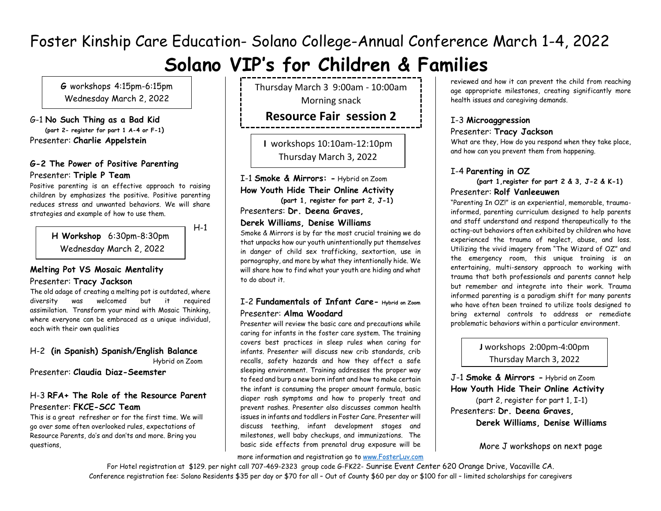# **Solano VIP's for Children & Families**

**G** workshops 4:15pm-6:15pm Wednesday March 2, 2022

G-1 **No Such Thing as a Bad Kid (part 2- register for part 1 A-4 or F-1)** Presenter: **Charlie Appelstein**

## **G-2 The Power of Positive Parenting** Presenter: **Triple P Team**

Positive parenting is an effective approach to raising children by emphasizes the positive. Positive parenting reduces stress and unwanted behaviors. We will share strategies and example of how to use them.

 $H-1$ 

**H Workshop** 6:30pm-8:30pm Wednesday March 2, 2022

#### **Melting Pot VS Mosaic Mentality** Presenter: **Tracy Jackson** j

The old adage of creating a melting pot is outdated, where diversity was welcomed but it required assimilation. Transform your mind with Mosaic Thinking, where everyone can be embraced as a unique individual, each with their own qualities

#### H-2 **(in Spanish) Spanish/English Balance** Hybrid on Zoom

Presenter: **Claudia Diaz-Seemster**

## H-3 **RFA+ The Role of the Resource Parent** Presenter: **FKCE-SCC Team**

This is a great refresher or for the first time. We will go over some often overlooked rules, expectations of Resource Parents, do's and don'ts and more. Bring you questions,

Thursday March 3 9:00am - 10:00am Morning snack

# **Resource Fair session 2**

**I** workshops 10:10am-12:10pm Thursday March 3, 2022

I-1 **Smoke & Mirrors: -** Hybrid on Zoom **How Youth Hide Their Online Activity (part 1, register for part 2, J-1)**

Presenters: **Dr. Deena Graves,** 

#### **Derek Williams, Denise Williams**

Smoke & Mirrors is by far the most crucial training we do that unpacks how our youth unintentionally put themselves in danger of child sex trafficking, sextortion, use in pornography, and more by what they intentionally hide. We will share how to find what your youth are hiding and what to do about it.

## I-2 **Fundamentals of Infant Care- Hybrid on Zoom** Presenter: **Alma Woodard**

Presenter will review the basic care and precautions while caring for infants in the foster care system. The training covers best practices in sleep rules when caring for infants. Presenter will discuss new crib standards, crib recalls, safety hazards and how they affect a safe sleeping environment. Training addresses the proper way to feed and burp a new born infant and how to make certain the infant is consuming the proper amount formula, basic diaper rash symptoms and how to properly treat and prevent rashes. Presenter also discusses common health issues in infants and toddlers in Foster Care. Presenter will discuss teething, infant development stages and milestones, well baby checkups, and immunizations. The basic side effects from prenatal drug exposure will be

more information and registration go to [www.FosterLuv.com](http://www.fosterluv.com/)

reviewed and how it can prevent the child from reaching age appropriate milestones, creating significantly more health issues and caregiving demands.

# I-3 **Microaggression**

## Presenter: **Tracy Jackson**

What are they, How do you respond when they take place, and how can you prevent them from happening.

#### I-4 **Parenting in OZ**

 **(part 1,register for part 2 & 3, J-2 & K-1)** Presenter: **Rolf Vanleeuwen**

"Parenting In OZ!" is an experiential, memorable, traumainformed, parenting curriculum designed to help parents and staff understand and respond therapeutically to the acting-out behaviors often exhibited by children who have experienced the trauma of neglect, abuse, and loss. Utilizing the vivid imagery from "The Wizard of OZ" and the emergency room, this unique training is an entertaining, multi-sensory approach to working with trauma that both professionals and parents cannot help but remember and integrate into their work. Trauma informed parenting is a paradigm shift for many parents who have often been trained to utilize tools designed to bring external controls to address or remediate problematic behaviors within a particular environment.

## **J** workshops2:00pm-4:00pm Thursday March 3, 2022

J-1 **Smoke & Mirrors -** Hybrid on Zoom **How Youth Hide Their Online Activity** (part 2, register for part 1, I-1) Presenters: **Dr. Deena Graves, Derek Williams, Denise Williams**

More J workshops on next page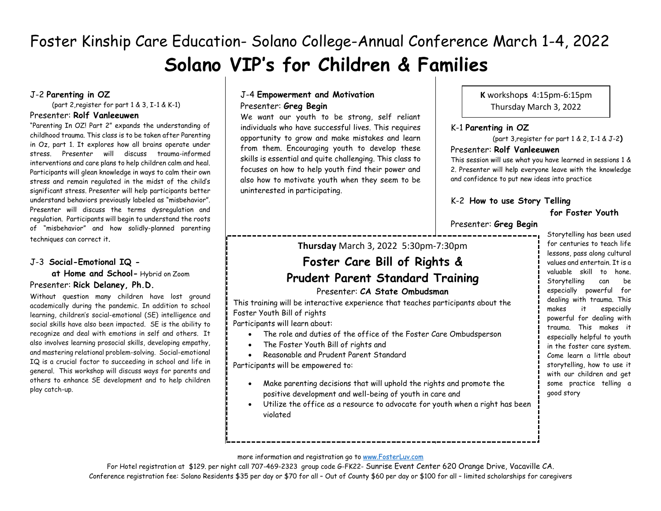# J-2 **Parenting in OZ**

(part 2,register for part 1 & 3, I-1 & K-1)

#### Presenter: **Rolf Vanleeuwen**

"Parenting In OZ! Part 2" expands the understanding of childhood trauma. This class is to be taken after Parenting in Oz, part 1. It explores how all brains operate under stress. Presenter will discuss trauma-informed interventions and care plans to help children calm and heal. Participants will glean knowledge in ways to calm their own stress and remain regulated in the midst of the child's significant stress. Presenter will help participants better understand behaviors previously labeled as "misbehavior". Presenter will discuss the terms dysregulation and regulation. Participants will begin to understand the roots of "misbehavior" and how solidly-planned parenting techniques can correct it.

#### J-3 **Social-Emotional IQ -**

 **at Home and School-** Hybrid on Zoom Presenter: **Rick Delaney, Ph.D.**

Without question many children have lost ground academically during the pandemic. In addition to school learning, children's social-emotional (SE) intelligence and social skills have also been impacted. SE is the ability to recognize and deal with emotions in self and others. It also involves learning prosocial skills, developing empathy, and mastering relational problem-solving. Social-emotional IQ is a crucial factor to succeeding in school and life in general. This workshop will discuss ways for parents and others to enhance SE development and to help children play catch-up.

## J-4 **Empowerment and Motivation** Presenter: **Greg Begin**

We want our youth to be strong, self reliant individuals who have successful lives. This requires opportunity to grow and make mistakes and learn from them. Encouraging youth to develop these skills is essential and quite challenging. This class to focuses on how to help youth find their power and also how to motivate youth when they seem to be uninterested in participating.

**K** workshop**s** 4:15pm-6:15pm Thursday March 3, 2022

#### K-1 **Parenting in OZ**  j

(part 3,register for part 1 & 2, I-1 & J-2**)**

#### Presenter: **Rolf Vanleeuwen**

This session will use what you have learned in sessions 1 & 2. Presenter will help everyone leave with the knowledge and confidence to put new ideas into practice

#### K-2 **How to use Story Telling**

## **for Foster Youth**

Presenter: **Greg Begin**

**Thursday** March 3, 2022 5:30pm-7:30pm

# **Foster Care Bill of Rights & Prudent Parent Standard Training**

#### Presenter: **CA State Ombudsman**

This training will be interactive experience that teaches participants about the Foster Youth Bill of rights

Participants will learn about:

- The role and duties of the office of the Foster Care Ombudsperson
- The Foster Youth Bill of rights and
- Reasonable and Prudent Parent Standard

Participants will be empowered to:

- Make parenting decisions that will uphold the rights and promote the positive development and well-being of youth in care and
- Utilize the office as a resource to advocate for youth when a right has been violated

Storytelling has been used for centuries to teach life lessons, pass along cultural values and entertain. It is a valuable skill to hone. Storytelling can be especially powerful for dealing with trauma. This makes it especially powerful for dealing with trauma. This makes it especially helpful to youth in the foster care system. Come learn a little about storytelling, how to use it with our children and get some practice telling a good story

#### more information and registration go to [www.FosterLuv.com](http://www.fosterluv.com/)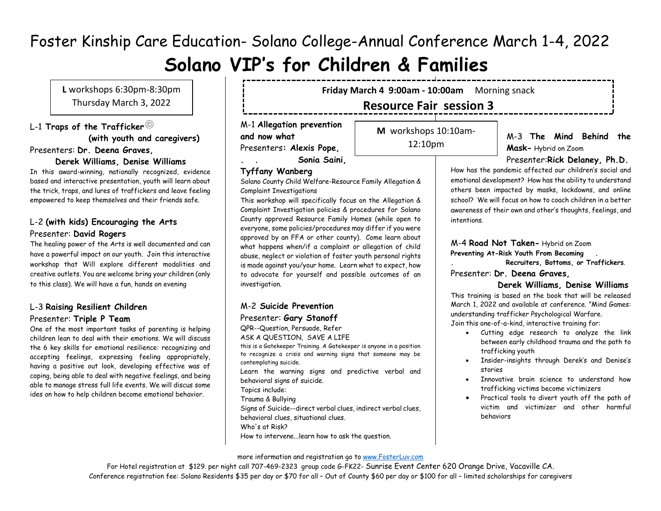# **Solano VIP's for Children & Families**

**L** workshops 6:30pm-8:30pm Thursday March 3, 2022

L-1 **Traps of the Trafficker (with youth and caregivers)** Presenters: **Dr. Deena Graves,** 

#### **Derek Williams, Denise Williams**

In this award-winning, nationally recognized, evidence based and interactive presentation, youth will learn about the trick, traps, and lures of traffickers and leave feeling empowered to keep themselves and their friends safe.

#### L-2 **(with kids) Encouraging the Arts** Presenter: **David Rogers**

The healing power of the Arts is well documented and can have a powerful impact on our youth. Join this interactive workshop that Will explore different modalities and creative outlets. You are welcome bring your children (only to this class). We will have a fun, hands on evening

#### L-3 **Raising Resilient Children** Presenter: **Triple P Team**

One of the most important tasks of parenting is helping children lean to deal with their emotions. We will discuss the 6 key skills for emotional resilience: recognizing and accepting feelings, expressing feeling appropriately, having a positive out look, developing effective was of coping, being able to deal with negative feelings, and being able to manage stress full life events. We will discus some ides on how to help children become emotional behavior.

**Friday March 4 9:00am - 10:00am** Morning snack

# **Resource Fair session 3**

M-1 **Allegation prevention and now what** Presenters**: Alexis Pope,** 

**M** workshops 10:10am-12:10pm

Friday March 4, 2022

M-3 **The Mind Behind the Mask-** Hybrid on Zoom

**. . Sonia Saini,**

#### **Tyffany Wanberg**

Solano County Child Welfare-Resource Family Allegation & Complaint Investigations

This workshop will specifically focus on the Allegation & Complaint Investigation policies & procedures for Solano County approved Resource Family Homes (while open to everyone, some policies/procedures may differ if you were approved by an FFA or other county). Come learn about what happens when/if a complaint or allegation of child abuse, neglect or violation of foster youth personal rights is made against you/your home. Learn what to expect, how to advocate for yourself and possible outcomes of an investigation.

#### M-2 **Suicide Prevention** Presenter: **Gary Stanoff**

QPR--Question, Persuade, Refer ASK A QUESTION, SAVE A LIFE this is a Gatekeeper Training. A Gatekeeper is anyone in a position to recognize a crisis and warning signs that someone may be contemplating suicide. Learn the warning signs and predictive verbal and behavioral signs of suicide. Topics include: Trauma & Bullying Signs of Suicide--direct verbal clues, indirect verbal clues, behavioral clues, situational clues. Who's at Risk? How to intervene...learn how to ask the question.

Presenter:**Rick Delaney, Ph.D.**

How has the pandemic affected our children's social and emotional development? How has the ability to understand others been impacted by masks, lockdowns, and online school? We will focus on how to coach children in a better awareness of their own and other's thoughts, feelings, and intentions.

M-4 **Road Not Taken-** Hybrid on Zoom

**Preventing At-Risk Youth From Becoming .** 

**. Recruiters, Bottoms, or Traffickers**.

Presenter: **Dr. Deena Graves,** 

#### **Derek Williams, Denise Williams**

This training is based on the book that will be released March 1, 2022 and available at conference. "Mind Games: understanding trafficker Psychological Warfare. Join this one-of-a-kind, interactive training for:

- Cutting edge research to analyze the link between early childhood trauma and the path to trafficking youth
- Insider-insights through Derek's and Denise's stories
- Innovative brain science to understand how trafficking victims become victimizers
- Practical tools to divert youth off the path of victim and victimizer and other harmful behaviors

#### more information and registration go to [www.FosterLuv.com](http://www.fosterluv.com/)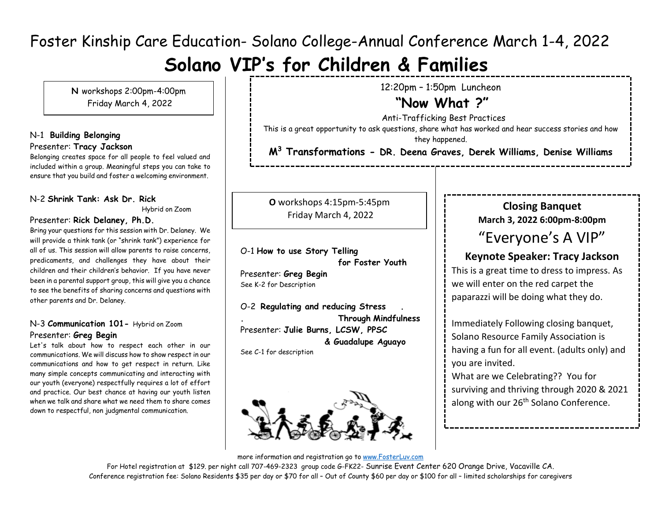# **Solano VIP's for Children & Families**

**N** workshops 2:00pm-4:00pm Friday March 4, 2022

## N-1 **Building Belonging** Presenter: **Tracy Jackson**

Belonging creates space for all people to feel valued and included within a group. Meaningful steps you can take to ensure that you build and foster a welcoming environment.

## N-2 **Shrink Tank: Ask Dr. Rick**

Hybrid on Zoom

 $\overline{a}$ 

#### Presenter: **Rick Delaney, Ph.D.**

Bring your questions for this session with Dr. Delaney. We will provide a think tank (or "shrink tank") experience for all of us. This session will allow parents to raise concerns, predicaments, and challenges they have about their children and their children's behavior. If you have never been in a parental support group, this will give you a chance to see the benefits of sharing concerns and questions with other parents and Dr. Delaney.

## N-3 **Communication 101-** Hybrid on Zoom Presenter: **Greg Begin**

Let's talk about how to respect each other in our communications. We will discuss how to show respect in our communications and how to get respect in return. Like many simple concepts communicating and interacting with our youth (everyone) respectfully requires a lot of effort and practice. Our best chance at having our youth listen when we talk and share what we need them to share comes down to respectful, non judgmental communication.

12:20pm – 1:50pm Luncheon

# **"Now What ?"**

Anti-Trafficking Best Practices This is a great opportunity to ask questions, share what has worked and hear success stories and how they happened. **M<sup>3</sup> Transformations - DR. Deena Graves, Derek Williams, Denise Williams**

**O** workshops 4:15pm-5:45pm Friday March 4, 2022

O-1 **How to use Story Telling for Foster Youth** Presenter: **Greg Begin** See K-2 for Description

O-2 **Regulating and reducing Stress . . Through Mindfulness**  Presenter: **Julie Burns, LCSW, PPSC & Guadalupe Aguayo** See C-1 for description



# **Closing Banquet March 3, 2022 6:00pm-8:00pm** "Everyone's A VIP"

# **Keynote Speaker: Tracy Jackson**

This is a great time to dress to impress. As we will enter on the red carpet the paparazzi will be doing what they do.

Immediately Following closing banquet, Solano Resource Family Association is having a fun for all event. (adults only) and you are invited.

What are we Celebrating?? You for surviving and thriving through 2020 & 2021 along with our 26<sup>th</sup> Solano Conference.

more information and registration go to [www.FosterLuv.com](http://www.fosterluv.com/)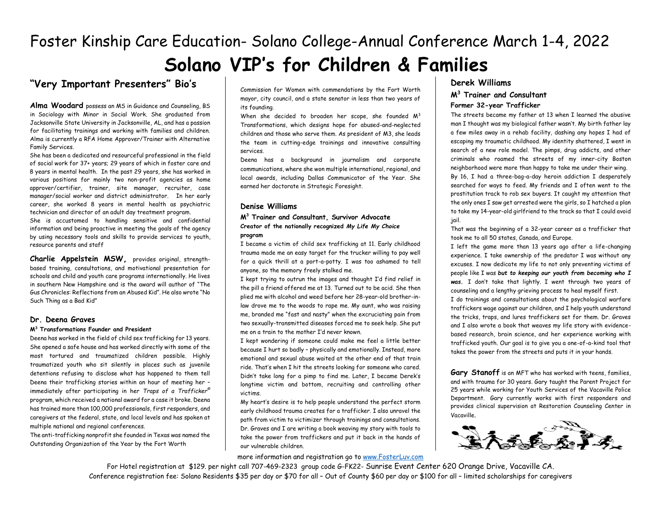# **"Very Important Presenters" Bio's**

**Alma Woodard** possess an MS in Guidance and Counseling, BS in Sociology with Minor in Social Work. She graduated from Jacksonville State University in Jacksonville, AL, and has a passion for facilitating trainings and working with families and children. Alma is currently a RFA Home Approver/Trainer with Alternative Family Services.

She has been a dedicated and resourceful professional in the field of social work for 37+ years; 29 years of which in foster care and 8 years in mental health. In the past 29 years, she has worked in various positions for mainly two non-profit agencies as home approver/certifier, trainer, site manager, recruiter, case manager/social worker and district administrator. In her early career, she worked 8 years in mental health as psychiatric technician and director of an adult day treatment program.

She is accustomed to handling sensitive and confidential information and being proactive in meeting the goals of the agency by using necessary tools and skills to provide services to youth, resource parents and staff

**Charlie Appelstein MSW,** provides original, strengthbased training, consultations, and motivational presentation for schools and child and youth care programs internationally. He lives in southern New Hampshire and is the award will author of "The Gus Chronicles: Reflections from an Abused Kid". He also wrote "No Such Thing as a Bad Kid"

#### **Dr. Deena Graves**

#### **M<sup>3</sup> Transformations Founder and President**

Deena has worked in the field of child sex trafficking for 13 years. She opened a safe house and has worked directly with some of the most tortured and traumatized children possible. Highly traumatized youth who sit silently in places such as juvenile detentions refusing to disclose what has happened to them tell Deena their trafficking stories within an hour of meeting her – immediately after participating in her *Traps of a Trafficker©* program*,* which received a national award for a case it broke. Deena has trained more than 100,000 professionals, first responders, and caregivers at the federal, state, and local levels and has spoken at multiple national and regional conferences.

The anti-trafficking nonprofit she founded in Texas was named the Outstanding Organization of the Year by the Fort Worth

Commission for Women with commendations by the Fort Worth mayor, city council, and a state senator in less than two years of its founding.

When she decided to broaden her scope, she founded  $M^3$ Transformations, which designs hope for abused-and-neglected children and those who serve them. As president of M3, she leads the team in cutting-edge trainings and innovative consulting services.

Deena has a background in journalism and corporate communications, where she won multiple international, regional, and local awards, including Dallas Communicator of the Year. She earned her doctorate in Strategic Foresight.

#### **Denise Williams**

#### **M<sup>3</sup> Trainer and Consultant, Survivor Advocate Creator of the nationally recognized** *My Life My Choice* **program**

I became a victim of child sex trafficking at 11. Early childhood trauma made me an easy target for the trucker willing to pay well for a quick thrill at a port-a-potty. I was too ashamed to tell anyone, so the memory freely stalked me.

I kept trying to outrun the images and thought I'd find relief in the pill a friend offered me at 13. Turned out to be acid. She then plied me with alcohol and weed before her 28-year-old brother-inlaw drove me to the woods to rape me. My aunt, who was raising me, branded me "fast and nasty" when the excruciating pain from two sexually-transmitted diseases forced me to seek help. She put me on a train to the mother I'd never known.

I kept wondering if someone could make me feel a little better because I hurt so badly – physically and emotionally. Instead, more emotional and sexual abuse waited at the other end of that train ride. That's when I hit the streets looking for someone who cared. Didn't take long for a pimp to find me. Later, I became Derek's longtime victim and bottom, recruiting and controlling other victims.

My heart's desire is to help people understand the perfect storm early childhood trauma creates for a trafficker. I also unravel the path from victim to victimizer through trainings and consultations. Dr. Graves and I are writing a book weaving my story with tools to take the power from traffickers and put it back in the hands of our vulnerable children.

#### more information and registration go to [www.FosterLuv.com](http://www.fosterluv.com/)

#### **Derek Williams**

#### **M<sup>3</sup> Trainer and Consultant Former 32-year Trafficker**

The streets became my father at 13 when I learned the abusive man I thought was my biological father wasn't. My birth father lay a few miles away in a rehab facility, dashing any hopes I had of escaping my traumatic childhood. My identity shattered, I went in search of a new role model. The pimps, drug addicts, and other criminals who roamed the streets of my inner-city Boston neighborhood were more than happy to take me under their wing. By 16, I had a three-bag-a-day heroin addiction I desperately searched for ways to feed. My friends and I often went to the prostitution track to rob sex buyers. It caught my attention that the only ones I saw get arrested were the girls, so I hatched a plan to take my 14-year-old girlfriend to the track so that I could avoid jail.

That was the beginning of a 32-year career as a trafficker that took me to all 50 states, Canada, and Europe.

I left the game more than 13 years ago after a life-changing experience. I take ownership of the predator I was without any excuses. I now dedicate my life to not only preventing victims of people like I was *but to keeping our youth from becoming who I was.* I don't take that lightly. I went through two years of counseling and a lengthy grieving process to heal myself first.

I do trainings and consultations about the psychological warfare traffickers wage against our children, and I help youth understand the tricks, traps, and lures traffickers set for them. Dr. Graves and I also wrote a book that weaves my life story with evidencebased research, brain science, and her experience working with trafficked youth. Our goal is to give you a one-of-a-kind tool that takes the power from the streets and puts it in your hands.

**Gary Stanoff** is an MFT who has worked with teens, families, and with trauma for 30 years. Gary taught the Parent Project for 25 years while working for Youth Services of the Vacaville Police Department. Gary currently works with first responders and provides clinical supervision at Restoration Counseling Center in Vacaville.

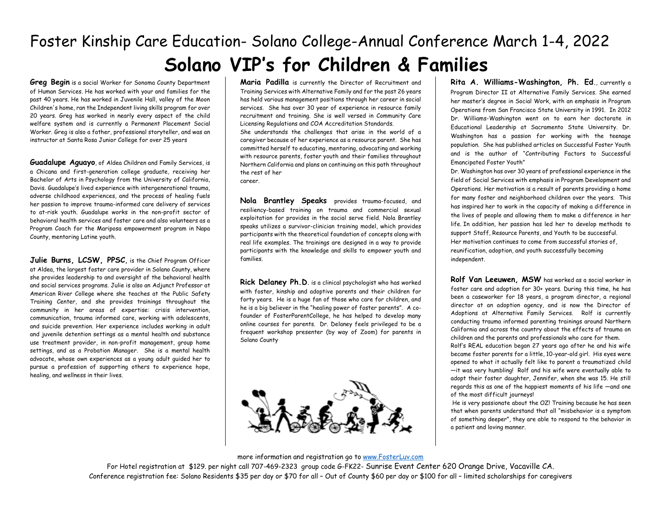**Greg Begin** is a social Worker for Sonoma County Department of Human Services. He has worked with your and families for the past 40 years. He has worked in Juvenile Hall, valley of the Moon Children's home, ran the Independent living skills program for over 20 years. Greg has worked in nearly every aspect of the child welfare system and is currently a Permanent Placement Social Worker. Greg is also a father, professional storyteller, and was an instructor at Santa Rosa Junior College for over 25 years

**Guadalupe Aguayo**, of Aldea Children and Family Services, is a Chicana and first-generation college graduate, receiving her Bachelor of Arts in Psychology from the University of California, Davis. Guadalupe's lived experience with intergenerational trauma, adverse childhood experiences, and the process of healing fuels her passion to improve trauma-informed care delivery of services to at-risk youth. Guadalupe works in the non-profit sector of behavioral health services and foster care and also volunteers as a Program Coach for the Mariposa empowerment program in Napa County, mentoring Latine youth.

**Julie Burns, LCSW, PPSC**, is the Chief Program Officer at Aldea, the largest foster care provider in Solano County, where she provides leadership to and oversight of the behavioral health and social services programs. Julie is also an Adjunct Professor at American River College where she teaches at the Public Safety Training Center, and she provides trainings throughout the community in her areas of expertise: crisis intervention, communication, trauma informed care, working with adolescents, and suicide prevention. Her experience includes working in adult and juvenile detention settings as a mental health and substance use treatment provider, in non-profit management, group home settings, and as a Probation Manager. She is a mental health advocate, whose own experiences as a young adult guided her to pursue a profession of supporting others to experience hope, healing, and wellness in their lives.

**Maria Padilla** is currently the Director of Recruitment and Training Services with Alternative Family and for the past 26 years has held various management positions through her career in social services. She has over 30 year of experience in resource family recruitment and training. She is well versed in Community Care Licensing Regulations and COA Accreditation Standards. She understands the challenges that arise in the world of a caregiver because of her experience as a resource parent. She has committed herself to educating, mentoring, advocating and working with resource parents, foster youth and their families throughout Northern California and plans on continuing on this path throughout the rest of her career.

**Nola Brantley Speaks** provides trauma-focused, and resiliency-based training on trauma and commercial sexual exploitation for provides in the social serve field. Nola Brantley speaks utilizes a survivor-clinician training model, which provides participants with the theoretical foundation of concepts along with real life examples. The trainings are designed in a way to provide participants with the knowledge and skills to empower youth and families.

**Rick Delaney Ph.D.** is a clinical psychologist who has worked with foster, kinship and adoptive parents and their children for forty years. He is a huge fan of those who care for children, and he is a big believer in the "healing power of foster parents". A cofounder of FosterParentCollege, he has helped to develop many online courses for parents. Dr. Delaney feels privileged to be a frequent workshop presenter (by way of Zoom) for parents in Solano County



**Rita A. Williams-Washington, Ph. Ed.**, currently a Program Director II at Alternative Family Services. She earned her master's degree in Social Work, with an emphasis in Program Operations from San Francisco State University in 1991. In 2012 Dr. Williams-Washington went on to earn her doctorate in Educational Leadership at Sacramento State University. Dr. Washington has a passion for working with the teenage population. She has published articles on Successful Foster Youth and is the author of "Contributing Factors to Successful Emancipated Foster Youth"

Dr. Washington has over 30 years of professional experience in the field of Social Services with emphasis in Program Development and Operations. Her motivation is a result of parents providing a home for many foster and neighborhood children over the years. This has inspired her to work in the capacity of making a difference in the lives of people and allowing them to make a difference in her life. In addition, her passion has led her to develop methods to support Staff, Resource Parents, and Youth to be successful. Her motivation continues to come from successful stories of, reunification, adoption, and youth successfully becoming independent.

**Rolf Van Leeuwen, MSW** has worked as a social worker in foster care and adoption for 30+ years. During this time, he has been a caseworker for 18 years, a program director, a regional director at an adoption agency, and is now the Director of Adoptions at Alternative Family Services. Rolf is currently conducting trauma informed parenting trainings around Northern California and across the country about the effects of trauma on children and the parents and professionals who care for them. Rolf's REAL education began 27 years ago after he and his wife became foster parents for a little, 10-year-old girl. His eyes were opened to what it actually felt like to parent a traumatized child —it was very humbling! Rolf and his wife were eventually able to adopt their foster daughter, Jennifer, when she was 15. He still regards this as one of the happiest moments of his life —and one of the most difficult journeys!

He is very passionate about the OZ! Training because he has seen that when parents understand that all "misbehavior is a symptom of something deeper", they are able to respond to the behavior in a patient and loving manner.

#### more information and registration go to [www.FosterLuv.com](http://www.fosterluv.com/)